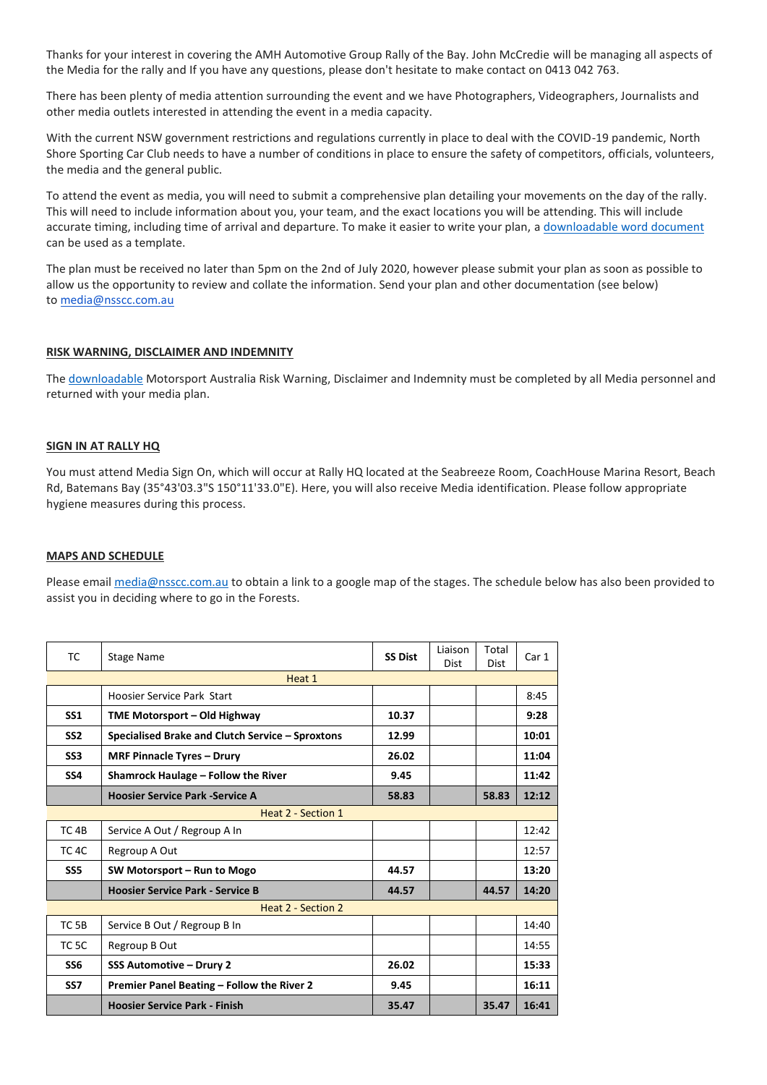Thanks for your interest in covering the AMH Automotive Group Rally of the Bay. John McCredie will be managing all aspects of the Media for the rally and If you have any questions, please don't hesitate to make contact on 0413 042 763.

There has been plenty of media attention surrounding the event and we have Photographers, Videographers, Journalists and other media outlets interested in attending the event in a media capacity.

With the current NSW government restrictions and regulations currently in place to deal with the COVID-19 pandemic, North Shore Sporting Car Club needs to have a number of conditions in place to ensure the safety of competitors, officials, volunteers, the media and the general public.

To attend the event as media, you will need to submit a comprehensive plan detailing your movements on the day of the rally. This will need to include information about you, your team, and the exact locations you will be attending. This will include accurate timing, including time of arrival and departure. To make it easier to write your plan, a downloadable [word document](https://nsscc.com.au/wp-content/uploads/2020/06/Media-Plan.docx) can be used as a template.

The plan must be received no later than 5pm on the 2nd of July 2020, however please submit your plan as soon as possible to allow us the opportunity to review and collate the information. Send your plan and other documentation (see below) to [media@nsscc.com.au](mailto:media@nsscc.com.au)

#### **RISK WARNING, DISCLAIMER AND INDEMNITY**

Th[e downloadable](https://nsscc.com.au/wp-content/uploads/2020/06/motorsport-australia_general-disclaimer_covid-19.pdf) Motorsport Australia Risk Warning, Disclaimer and Indemnity must be completed by all Media personnel and returned with your media plan.

#### **SIGN IN AT RALLY HQ**

You must attend Media Sign On, which will occur at Rally HQ located at the Seabreeze Room, CoachHouse Marina Resort, Beach Rd, Batemans Bay (35°43'03.3"S 150°11'33.0"E). Here, you will also receive Media identification. Please follow appropriate hygiene measures during this process.

#### **MAPS AND SCHEDULE**

Please email [media@nsscc.com.au](mailto:media@nsscc.com.au) to obtain a link to a google map of the stages. The schedule below has also been provided to assist you in deciding where to go in the Forests.

| TC.                       | Stage Name                                       | <b>SS Dist</b> | Liaison<br>Dist | Total<br><b>Dist</b> | Car 1 |
|---------------------------|--------------------------------------------------|----------------|-----------------|----------------------|-------|
| Heat 1                    |                                                  |                |                 |                      |       |
|                           | Hoosier Service Park Start                       |                |                 |                      | 8:45  |
| SS <sub>1</sub>           | TME Motorsport - Old Highway                     | 10.37          |                 |                      | 9:28  |
| SS <sub>2</sub>           | Specialised Brake and Clutch Service - Sproxtons | 12.99          |                 |                      | 10:01 |
| SS <sub>3</sub>           | <b>MRF Pinnacle Tyres - Drury</b>                | 26.02          |                 |                      | 11:04 |
| SS <sub>4</sub>           | Shamrock Haulage - Follow the River              | 9.45           |                 |                      | 11:42 |
|                           | <b>Hoosier Service Park -Service A</b>           | 58.83          |                 | 58.83                | 12:12 |
| Heat 2 - Section 1        |                                                  |                |                 |                      |       |
| TC <sub>4B</sub>          | Service A Out / Regroup A In                     |                |                 |                      | 12:42 |
| TC <sub>4C</sub>          | Regroup A Out                                    |                |                 |                      | 12:57 |
| SS <sub>5</sub>           | SW Motorsport - Run to Mogo                      | 44.57          |                 |                      | 13:20 |
|                           | <b>Hoosier Service Park - Service B</b>          | 44.57          |                 | 44.57                | 14:20 |
| <b>Heat 2 - Section 2</b> |                                                  |                |                 |                      |       |
| TC <sub>5B</sub>          | Service B Out / Regroup B In                     |                |                 |                      | 14:40 |
| TC <sub>5C</sub>          | Regroup B Out                                    |                |                 |                      | 14:55 |
| SS <sub>6</sub>           | SSS Automotive - Drury 2                         | 26.02          |                 |                      | 15:33 |
| SS <sub>7</sub>           | Premier Panel Beating - Follow the River 2       | 9.45           |                 |                      | 16:11 |
|                           | <b>Hoosier Service Park - Finish</b>             | 35.47          |                 | 35.47                | 16:41 |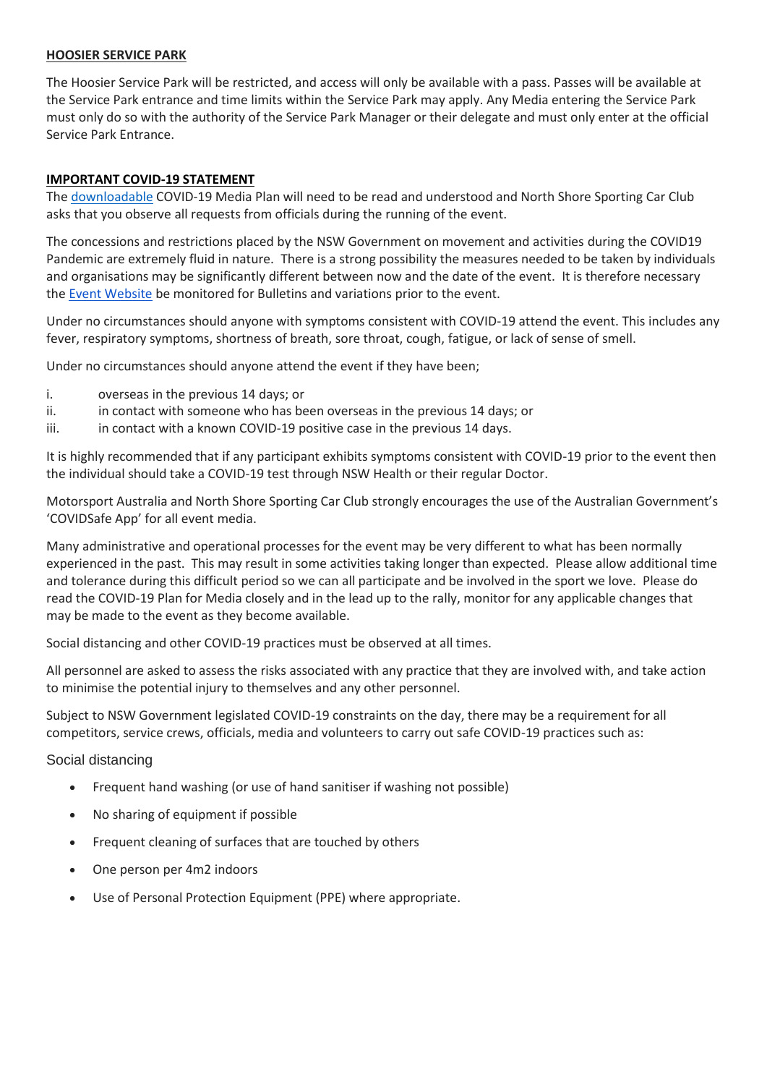## **HOOSIER SERVICE PARK**

The Hoosier Service Park will be restricted, and access will only be available with a pass. Passes will be available at the Service Park entrance and time limits within the Service Park may apply. Any Media entering the Service Park must only do so with the authority of the Service Park Manager or their delegate and must only enter at the official Service Park Entrance.

### **IMPORTANT COVID-19 STATEMENT**

The [downloadable](https://nsscc.com.au/wp-content/uploads/2020/06/COVID19-Briefing-Media-v1.0.pdf) COVID-19 Media Plan will need to be read and understood and North Shore Sporting Car Club asks that you observe all requests from officials during the running of the event.

The concessions and restrictions placed by the NSW Government on movement and activities during the COVID19 Pandemic are extremely fluid in nature. There is a strong possibility the measures needed to be taken by individuals and organisations may be significantly different between now and the date of the event. It is therefore necessary the [Event Website](https://nsscc.com.au/rally-of-the-bay/) be monitored for Bulletins and variations prior to the event.

Under no circumstances should anyone with symptoms consistent with COVID-19 attend the event. This includes any fever, respiratory symptoms, shortness of breath, sore throat, cough, fatigue, or lack of sense of smell.

Under no circumstances should anyone attend the event if they have been;

- i. overseas in the previous 14 days; or
- ii. in contact with someone who has been overseas in the previous 14 days; or
- iii. in contact with a known COVID-19 positive case in the previous 14 days.

It is highly recommended that if any participant exhibits symptoms consistent with COVID-19 prior to the event then the individual should take a COVID-19 test through NSW Health or their regular Doctor.

Motorsport Australia and North Shore Sporting Car Club strongly encourages the use of the Australian Government's 'COVIDSafe App' for all event media.

Many administrative and operational processes for the event may be very different to what has been normally experienced in the past. This may result in some activities taking longer than expected. Please allow additional time and tolerance during this difficult period so we can all participate and be involved in the sport we love. Please do read the COVID-19 Plan for Media closely and in the lead up to the rally, monitor for any applicable changes that may be made to the event as they become available.

Social distancing and other COVID-19 practices must be observed at all times.

All personnel are asked to assess the risks associated with any practice that they are involved with, and take action to minimise the potential injury to themselves and any other personnel.

Subject to NSW Government legislated COVID-19 constraints on the day, there may be a requirement for all competitors, service crews, officials, media and volunteers to carry out safe COVID-19 practices such as:

# Social distancing

- Frequent hand washing (or use of hand sanitiser if washing not possible)
- No sharing of equipment if possible
- Frequent cleaning of surfaces that are touched by others
- One person per 4m2 indoors
- Use of Personal Protection Equipment (PPE) where appropriate.